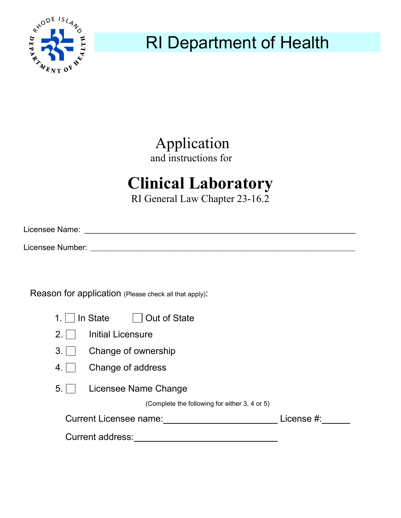

RI Department of Health

Application and instructions for

## **Clinical Laboratory**

RI General Law Chapter 23-16.2

| Licensee Name:   |  |  |  |
|------------------|--|--|--|
| Licensee Number: |  |  |  |

Reason for application (Please check all that apply):

| 1. $\vert$ In State | Out of State |
|---------------------|--------------|
|                     |              |

- 3. Change of ownership
- 4. Change of address
- 5. Licensee Name Change

(Complete the following for either 3, 4 or 5)

| Current Licensee name: | License #: |
|------------------------|------------|
| Current address:       |            |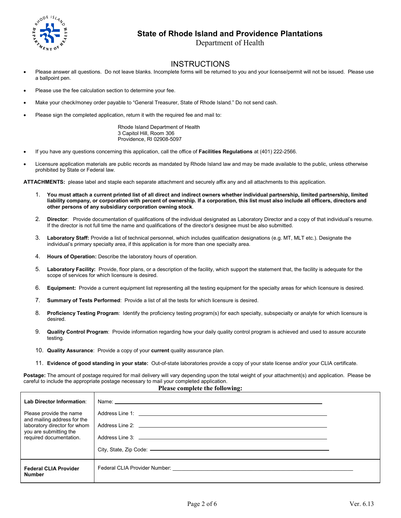

## **State of Rhode Island and Providence Plantations**

Department of Health

## **INSTRUCTIONS**

- Please answer all questions. Do not leave blanks. Incomplete forms will be returned to you and your license/permit will not be issued. Please use a ballpoint pen.
- Please use the fee calculation section to determine your fee.
- Make your check/money order payable to "General Treasurer, State of Rhode Island." Do not send cash.
- Please sign the completed application, return it with the required fee and mail to:

 Rhode Island Department of Health 3 Capitol Hill, Room 306 Providence, RI 02908-5097

- If you have any questions concerning this application, call the office of **Facilities Regulations** at (401) 222-2566.
- Licensure application materials are public records as mandated by Rhode Island law and may be made available to the public, unless otherwise prohibited by State or Federal law.

**ATTACHMENTS:** please label and staple each separate attachment and securely affix any and all attachments to this application.

- 1. **You must attach a current printed list of all direct and indirect owners whether individual partnership, limited partnership, limited liability company, or corporation with percent of ownership. If a corporation, this list must also include all officers, directors and other persons of any subsidiary corporation owning stock**.
- 2. **Director**: Provide documentation of qualifications of the individual designated as Laboratory Director and a copy of that individual's resume. If the director is not full time the name and qualifications of the director's designee must be also submitted.
- 3. **Laboratory Staff:** Provide a list of technical personnel, which includes qualification designations (e.g. MT, MLT etc.). Designate the individual's primary specialty area, if this application is for more than one specialty area.
- 4. **Hours of Operation:** Describe the laboratory hours of operation.
- 5. **Laboratory Facility:** Provide, floor plans, or a description of the facility, which support the statement that, the facility is adequate for the scope of services for which licensure is desired.
- 6. **Equipment:** Provide a current equipment list representing all the testing equipment for the specialty areas for which licensure is desired.
- 7. **Summary of Tests Performed**: Provide a list of all the tests for which licensure is desired.
- 8. **Proficiency Testing Program**: Identify the proficiency testing program(s) for each specialty, subspecialty or analyte for which licensure is desired.
- 9. **Quality Control Program**: Provide information regarding how your daily quality control program is achieved and used to assure accurate testing.
- 10. **Quality Assurance**: Provide a copy of your **current** quality assurance plan.
- 11. **Evidence of good standing in your state:** Out-of-state laboratories provide a copy of your state license and/or your CLIA certificate.

**Postage:** The amount of postage required for mail delivery will vary depending upon the total weight of your attachment(s) and application. Please be careful to include the appropriate postage necessary to mail your completed application.

| Please complete the following:                                                                                                                                           |                                                                                                                 |  |  |
|--------------------------------------------------------------------------------------------------------------------------------------------------------------------------|-----------------------------------------------------------------------------------------------------------------|--|--|
| Lab Director Information:<br>Please provide the name<br>and mailing address for the<br>laboratory director for whom<br>you are submitting the<br>required documentation. |                                                                                                                 |  |  |
| <b>Federal CLIA Provider</b><br><b>Number</b>                                                                                                                            | Federal CLIA Provider Number: William School School and School School School School School School School School |  |  |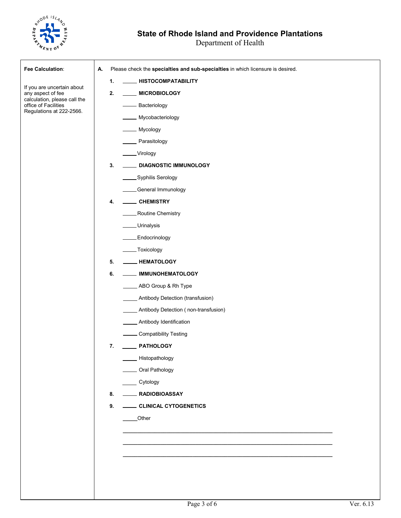

## **State of Rhode Island and Providence Plantations**

| Fee Calculation:                                     | Please check the specialties and sub-specialties in which licensure is desired.<br>А. |
|------------------------------------------------------|---------------------------------------------------------------------------------------|
|                                                      | <b>HISTOCOMPATABILITY</b><br>1.                                                       |
| If you are uncertain about<br>any aspect of fee      | 2.<br><b>MICROBIOLOGY</b>                                                             |
| calculation, please call the<br>office of Facilities | - Bacteriology                                                                        |
| Regulations at 222-2566.                             | Mycobacteriology                                                                      |
|                                                      | _ Mycology                                                                            |
|                                                      | Parasitology                                                                          |
|                                                      | _Virology                                                                             |
|                                                      | <b>DIAGNOSTIC IMMUNOLOGY</b><br>3.                                                    |
|                                                      | Syphilis Serology                                                                     |
|                                                      | _General Immunology                                                                   |
|                                                      | <b>CHEMISTRY</b><br>4.                                                                |
|                                                      | Routine Chemistry                                                                     |
|                                                      | _Urinalysis                                                                           |
|                                                      | Endocrinology.                                                                        |
|                                                      | _Toxicology                                                                           |
|                                                      | <b>HEMATOLOGY</b><br>5.                                                               |
|                                                      | 6.<br><b>IMMUNOHEMATOLOGY</b>                                                         |
|                                                      | ABO Group & Rh Type                                                                   |
|                                                      | Antibody Detection (transfusion)                                                      |
|                                                      | Antibody Detection (non-transfusion)                                                  |
|                                                      | Antibody Identification                                                               |
|                                                      | <b>Compatibility Testing</b>                                                          |
|                                                      | 7.<br><b>PATHOLOGY</b>                                                                |
|                                                      | Histopathology                                                                        |
|                                                      | Oral Pathology                                                                        |
|                                                      | Cytology                                                                              |
|                                                      | RADIOBIOASSAY<br>8.                                                                   |
|                                                      | 9.<br>CLINICAL CYTOGENETICS                                                           |
|                                                      | Other                                                                                 |
|                                                      |                                                                                       |
|                                                      |                                                                                       |
|                                                      |                                                                                       |
|                                                      |                                                                                       |
|                                                      |                                                                                       |
|                                                      |                                                                                       |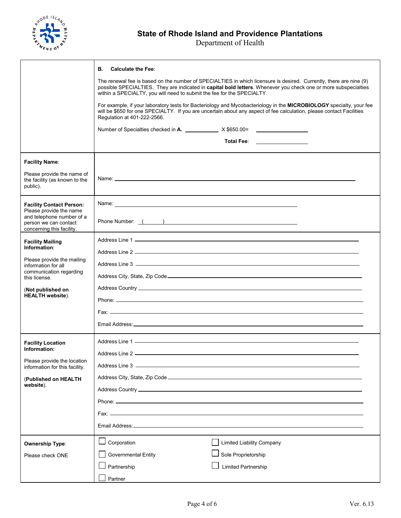

|                                                                                 | <b>Calculate the Fee:</b><br>В.                                        |                                                                                                                                                                                                                                             |
|---------------------------------------------------------------------------------|------------------------------------------------------------------------|---------------------------------------------------------------------------------------------------------------------------------------------------------------------------------------------------------------------------------------------|
|                                                                                 | within a SPECIALTY, you will need to submit the fee for the SPECIALTY. | The renewal fee is based on the number of SPECIALTIES in which licensure is desired. Currently, there are nine (9)<br>possible SPECIALTIES. They are indicated in capital bold letters. Whenever you check one or more subspecialties       |
|                                                                                 | Regulation at 401-222-2566.                                            | For example, if your laboratory tests for Bacteriology and Mycobacteriology in the MICROBIOLOGY specialty, your fee<br>will be \$650 for one SPECIALTY. If you are uncertain about any aspect of fee calculation, please contact Facilities |
|                                                                                 | Number of Specialties checked in A. X \$650.00=                        |                                                                                                                                                                                                                                             |
|                                                                                 |                                                                        | Total Fee: The Contract of Total Press, The Contract of Total Press, The Contract of Total Press, The Contract of To                                                                                                                        |
| <b>Facility Name:</b>                                                           |                                                                        |                                                                                                                                                                                                                                             |
| Please provide the name of<br>the facility (as known to the<br>public).         |                                                                        |                                                                                                                                                                                                                                             |
| <b>Facility Contact Person:</b><br>Please provide the name                      |                                                                        |                                                                                                                                                                                                                                             |
| and telephone number of a<br>person we can contact<br>concerning this facility. |                                                                        |                                                                                                                                                                                                                                             |
| <b>Facility Mailing</b><br>Information:                                         |                                                                        |                                                                                                                                                                                                                                             |
| Please provide the mailing                                                      |                                                                        |                                                                                                                                                                                                                                             |
| information for all<br>communication regarding                                  |                                                                        |                                                                                                                                                                                                                                             |
| this license.                                                                   |                                                                        |                                                                                                                                                                                                                                             |
| (Not published on<br><b>HEALTH</b> website).                                    |                                                                        |                                                                                                                                                                                                                                             |
|                                                                                 |                                                                        |                                                                                                                                                                                                                                             |
|                                                                                 |                                                                        |                                                                                                                                                                                                                                             |
|                                                                                 |                                                                        |                                                                                                                                                                                                                                             |
| <b>Facility Location</b>                                                        |                                                                        |                                                                                                                                                                                                                                             |
| Information:                                                                    |                                                                        |                                                                                                                                                                                                                                             |
| Please provide the location<br>information for this facility.                   |                                                                        |                                                                                                                                                                                                                                             |
| (Published on HEALTH                                                            |                                                                        |                                                                                                                                                                                                                                             |
| website).                                                                       |                                                                        |                                                                                                                                                                                                                                             |
|                                                                                 |                                                                        |                                                                                                                                                                                                                                             |
|                                                                                 |                                                                        |                                                                                                                                                                                                                                             |
|                                                                                 |                                                                        |                                                                                                                                                                                                                                             |
| <b>Ownership Type:</b>                                                          | Corporation                                                            | <b>Limited Liability Company</b>                                                                                                                                                                                                            |
| Please check ONE                                                                | <b>Governmental Entity</b>                                             | Sole Proprietorship                                                                                                                                                                                                                         |
|                                                                                 | Partnership                                                            | <b>Limited Partnership</b>                                                                                                                                                                                                                  |
|                                                                                 | Partner                                                                |                                                                                                                                                                                                                                             |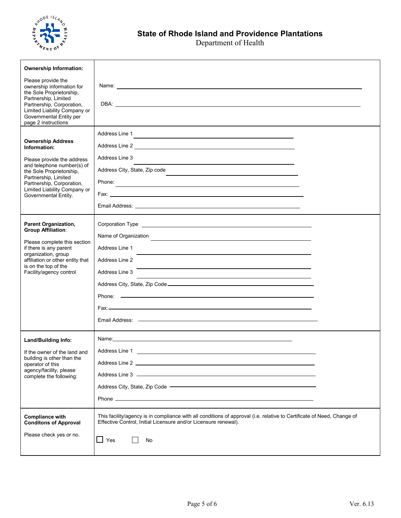

| <b>Ownership Information:</b>                                                                                                                                                                                      |                                                                                                                                                                                                                                      |
|--------------------------------------------------------------------------------------------------------------------------------------------------------------------------------------------------------------------|--------------------------------------------------------------------------------------------------------------------------------------------------------------------------------------------------------------------------------------|
| Please provide the<br>ownership information for<br>the Sole Proprietorship,<br>Partnership, Limited<br>Partnership, Corporation,<br>Limited Liability Company or<br>Governmental Entity per<br>page 2 instructions |                                                                                                                                                                                                                                      |
|                                                                                                                                                                                                                    |                                                                                                                                                                                                                                      |
| <b>Ownership Address</b><br>Information:                                                                                                                                                                           | Address Line 1                                                                                                                                                                                                                       |
| Please provide the address                                                                                                                                                                                         | Address Line 3                                                                                                                                                                                                                       |
| and telephone number(s) of<br>the Sole Proprietorship,                                                                                                                                                             | Address City, State, Zip code                                                                                                                                                                                                        |
| Partnership, Limited<br>Partnership, Corporation,                                                                                                                                                                  |                                                                                                                                                                                                                                      |
| Limited Liability Company or<br>Governmental Entity.                                                                                                                                                               |                                                                                                                                                                                                                                      |
|                                                                                                                                                                                                                    | Email Address: the contract of the contract of the contract of the contract of the contract of the contract of the contract of the contract of the contract of the contract of the contract of the contract of the contract of       |
| <b>Parent Organization,</b>                                                                                                                                                                                        |                                                                                                                                                                                                                                      |
| <b>Group Affiliation:</b>                                                                                                                                                                                          |                                                                                                                                                                                                                                      |
| Please complete this section                                                                                                                                                                                       | Name of Organization <b>Contract Contract Contract Contract Contract Contract Contract Contract Contract Contract Contract Contract Contract Contract Contract Contract Contract Contract Contract Contract Contract Contract Co</b> |
| if there is any parent<br>organization, group                                                                                                                                                                      | Address Line 1                                                                                                                                                                                                                       |
| affiliation or other entity that<br>is on the top of the                                                                                                                                                           | Address Line 2                                                                                                                                                                                                                       |
| Facility/agency control                                                                                                                                                                                            | Address Line 3<br><u> 1989 - Johann Stoff, amerikansk politiker (* 1908)</u>                                                                                                                                                         |
|                                                                                                                                                                                                                    |                                                                                                                                                                                                                                      |
|                                                                                                                                                                                                                    |                                                                                                                                                                                                                                      |
|                                                                                                                                                                                                                    |                                                                                                                                                                                                                                      |
|                                                                                                                                                                                                                    |                                                                                                                                                                                                                                      |
|                                                                                                                                                                                                                    |                                                                                                                                                                                                                                      |
| <b>Land/Building Info:</b>                                                                                                                                                                                         |                                                                                                                                                                                                                                      |
| If the owner of the land and                                                                                                                                                                                       | Address Line 1 and 1 and 1 and 1 and 1 and 1 and 1 and 1 and 1 and 1 and 1 and 1 and 1 and 1 and 1 and 1 and 1                                                                                                                       |
| building is other than the<br>operator of this                                                                                                                                                                     |                                                                                                                                                                                                                                      |
| agency/facility, please<br>complete the following:                                                                                                                                                                 |                                                                                                                                                                                                                                      |
|                                                                                                                                                                                                                    |                                                                                                                                                                                                                                      |
|                                                                                                                                                                                                                    |                                                                                                                                                                                                                                      |
| <b>Compliance with</b><br><b>Conditons of Approval</b>                                                                                                                                                             | This facility/agency is in compliance with all conditions of approval (i.e. relative to Certificate of Need, Change of<br>Effective Control, Initial Licensure and/or Licensure renewal).                                            |
|                                                                                                                                                                                                                    |                                                                                                                                                                                                                                      |
| Please check yes or no.                                                                                                                                                                                            | $\Box$ Yes<br>No                                                                                                                                                                                                                     |
|                                                                                                                                                                                                                    |                                                                                                                                                                                                                                      |